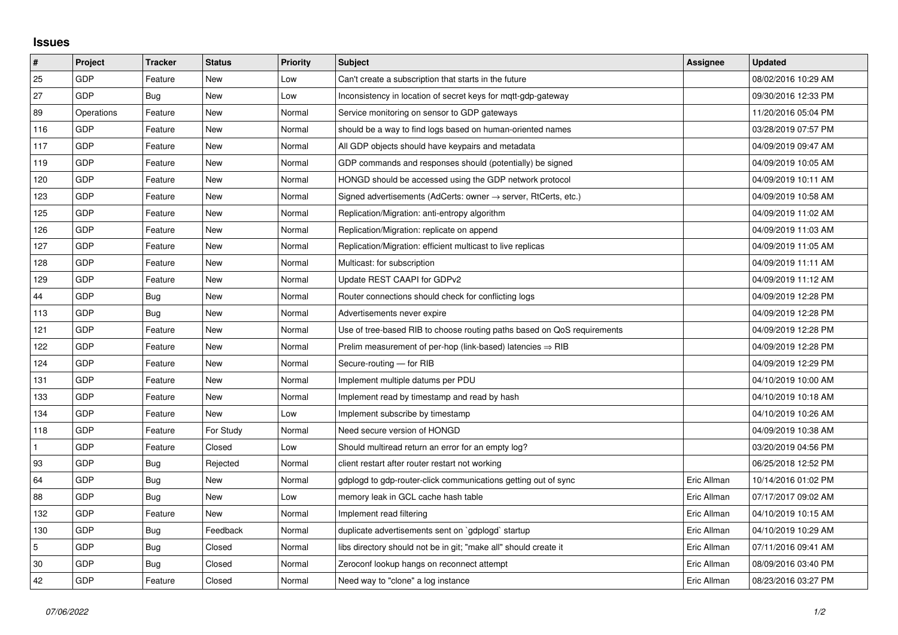## **Issues**

| $\sharp$     | Project    | <b>Tracker</b> | <b>Status</b> | <b>Priority</b> | <b>Subject</b>                                                             | Assignee    | <b>Updated</b>      |
|--------------|------------|----------------|---------------|-----------------|----------------------------------------------------------------------------|-------------|---------------------|
| 25           | GDP        | Feature        | New           | Low             | Can't create a subscription that starts in the future                      |             | 08/02/2016 10:29 AM |
| 27           | GDP        | Bug            | New           | Low             | Inconsistency in location of secret keys for mott-gdp-gateway              |             | 09/30/2016 12:33 PM |
| 89           | Operations | Feature        | New           | Normal          | Service monitoring on sensor to GDP gateways                               |             | 11/20/2016 05:04 PM |
| 116          | GDP        | Feature        | New           | Normal          | should be a way to find logs based on human-oriented names                 |             | 03/28/2019 07:57 PM |
| 117          | GDP        | Feature        | New           | Normal          | All GDP objects should have keypairs and metadata                          |             | 04/09/2019 09:47 AM |
| 119          | GDP        | Feature        | New           | Normal          | GDP commands and responses should (potentially) be signed                  |             | 04/09/2019 10:05 AM |
| 120          | GDP        | Feature        | New           | Normal          | HONGD should be accessed using the GDP network protocol                    |             | 04/09/2019 10:11 AM |
| 123          | GDP        | Feature        | New           | Normal          | Signed advertisements (AdCerts: owner $\rightarrow$ server, RtCerts, etc.) |             | 04/09/2019 10:58 AM |
| 125          | GDP        | Feature        | New           | Normal          | Replication/Migration: anti-entropy algorithm                              |             | 04/09/2019 11:02 AM |
| 126          | GDP        | Feature        | New           | Normal          | Replication/Migration: replicate on append                                 |             | 04/09/2019 11:03 AM |
| 127          | GDP        | Feature        | New           | Normal          | Replication/Migration: efficient multicast to live replicas                |             | 04/09/2019 11:05 AM |
| 128          | GDP        | Feature        | New           | Normal          | Multicast: for subscription                                                |             | 04/09/2019 11:11 AM |
| 129          | GDP        | Feature        | New           | Normal          | Update REST CAAPI for GDPv2                                                |             | 04/09/2019 11:12 AM |
| 44           | GDP        | Bug            | New           | Normal          | Router connections should check for conflicting logs                       |             | 04/09/2019 12:28 PM |
| 113          | GDP        | Bug            | New           | Normal          | Advertisements never expire                                                |             | 04/09/2019 12:28 PM |
| 121          | GDP        | Feature        | New           | Normal          | Use of tree-based RIB to choose routing paths based on QoS requirements    |             | 04/09/2019 12:28 PM |
| 122          | GDP        | Feature        | New           | Normal          | Prelim measurement of per-hop (link-based) latencies $\Rightarrow$ RIB     |             | 04/09/2019 12:28 PM |
| 124          | GDP        | Feature        | New           | Normal          | Secure-routing - for RIB                                                   |             | 04/09/2019 12:29 PM |
| 131          | GDP        | Feature        | New           | Normal          | Implement multiple datums per PDU                                          |             | 04/10/2019 10:00 AM |
| 133          | GDP        | Feature        | New           | Normal          | Implement read by timestamp and read by hash                               |             | 04/10/2019 10:18 AM |
| 134          | GDP        | Feature        | New           | Low             | Implement subscribe by timestamp                                           |             | 04/10/2019 10:26 AM |
| 118          | GDP        | Feature        | For Study     | Normal          | Need secure version of HONGD                                               |             | 04/09/2019 10:38 AM |
| $\mathbf{1}$ | GDP        | Feature        | Closed        | Low             | Should multiread return an error for an empty log?                         |             | 03/20/2019 04:56 PM |
| 93           | GDP        | Bug            | Rejected      | Normal          | client restart after router restart not working                            |             | 06/25/2018 12:52 PM |
| 64           | GDP        | Bug            | New           | Normal          | gdplogd to gdp-router-click communications getting out of sync             | Eric Allman | 10/14/2016 01:02 PM |
| 88           | GDP        | Bug            | New           | Low             | memory leak in GCL cache hash table                                        | Eric Allman | 07/17/2017 09:02 AM |
| 132          | GDP        | Feature        | New           | Normal          | Implement read filtering                                                   | Eric Allman | 04/10/2019 10:15 AM |
| 130          | GDP        | Bug            | Feedback      | Normal          | duplicate advertisements sent on `gdplogd` startup                         | Eric Allman | 04/10/2019 10:29 AM |
| 5            | GDP        | Bug            | Closed        | Normal          | libs directory should not be in git; "make all" should create it           | Eric Allman | 07/11/2016 09:41 AM |
| 30           | GDP        | Bug            | Closed        | Normal          | Zeroconf lookup hangs on reconnect attempt                                 | Eric Allman | 08/09/2016 03:40 PM |
| 42           | GDP        | Feature        | Closed        | Normal          | Need way to "clone" a log instance                                         | Eric Allman | 08/23/2016 03:27 PM |